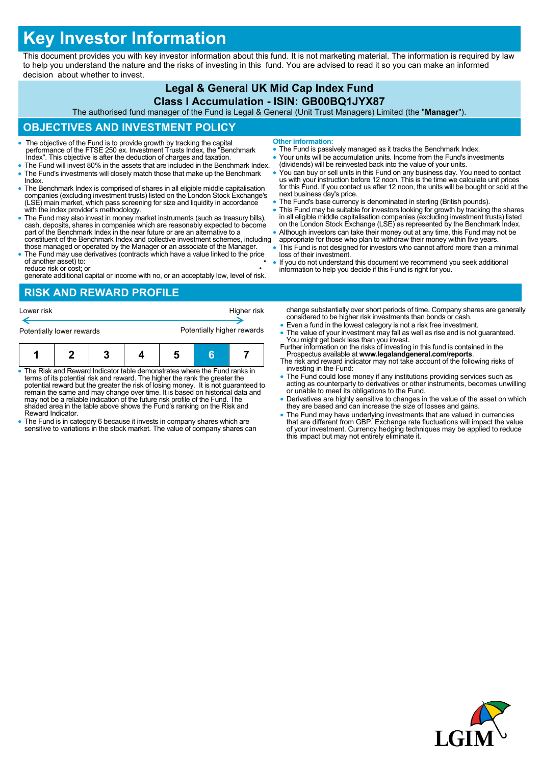# **Key Investor Information**

This document provides you with key investor information about this fund. It is not marketing material. The information is required by law to help you understand the nature and the risks of investing in this fund. You are advised to read it so you can make an informed decision about whether to invest.

#### **Legal & General UK Mid Cap Index Fund Class I Accumulation - ISIN: GB00BQ1JYX87**

The authorised fund manager of the Fund is Legal & General (Unit Trust Managers) Limited (the "**Manager**").

## **OBJECTIVES AND INVESTMENT POLICY**

- The objective of the Fund is to provide growth by tracking the capital performance of the FTSE 250 ex. Investment Trusts Index, the "Benchmark Index". This objective is after the deduction of charges and taxation.
- The Fund will invest 80% in the assets that are included in the Benchmark Index. The Fund's investments will closely match those that make up the Benchmark Index.
- The Benchmark Index is comprised of shares in all eligible middle capitalisation companies (excluding investment trusts) listed on the London Stock Exchange's (LSE) main market, which pass screening for size and liquidity in accordance with the index provider's methodology.
- The Fund may also invest in money market instruments (such as treasury bills), cash, deposits, shares in companies which are reasonably expected to become part of the Benchmark Index in the near future or are an alternat constituent of the Benchmark Index and collective investment schemes, including
- those managed or operated by the Manager or an associate of the Manager. The Fund may use derivatives (contracts which have a value linked to the price of another asset) to:

reduce risk or cost; or • generate additional capital or income with no, or an acceptably low, level of risk.

#### **RISK AND REWARD PROFILE**

| Potentially lower rewards |  |  |  | Higher risk<br>Potentially higher rewards |  |  |
|---------------------------|--|--|--|-------------------------------------------|--|--|
|                           |  |  |  |                                           |  |  |

- The Risk and Reward Indicator table demonstrates where the Fund ranks in terms of its potential risk and reward. The higher the rank the greater the potential reward but the greater the risk of losing money. It is not guaranteed to remain the same and may change over time. It is based on historical data and may not be a reliable indication of the future risk profile of the Fund. The shaded area in the table above shows the Fund's ranking on the Risk and Reward Indicator.
- The Fund is in category 6 because it invests in company shares which are sensitive to variations in the stock market. The value of company shares can
- **Other information:**
- The Fund is passively managed as it tracks the Benchmark Index.
- Your units will be accumulation units. Income from the Fund's investments (dividends) will be reinvested back into the value of your units.
- You can buy or sell units in this Fund on any business day. You need to contact<br>us with your instruction before 12 noon. This is the time we calculate unit prices<br>for this Fund. If you contact us after 12 noon, the units next business day's price.
- The Fund's base currency is denominated in sterling (British pounds).
- This Fund may be suitable for investors looking for growth by tracking the shares in all eligible middle capitalisation companies (excluding investment trusts) listed on the London Stock Exchange (LSE) as represented by the Benchmark Index.
- Although investors can take their money out at any time, this Fund may not be appropriate for those who plan to withdraw their money within five years.
- This Fund is not designed for investors who cannot afford more than a minimal loss of their investment.
- If you do not understand this document we recommend you seek additional information to help you decide if this Fund is right for you.

change substantially over short periods of time. Company shares are generally considered to be higher risk investments than bonds or cash.

- Even a fund in the lowest category is not a risk free investment.
- The value of your investment may fall as well as rise and is not guaranteed. You might get back less than you invest. Further information on the risks of investing in this fund is contained in the
- Prospectus available at **www.legalandgeneral.com/reports**. The risk and reward indicator may not take account of the following risks of
- investing in the Fund: The Fund could lose money if any institutions providing services such as acting as counterparty to derivatives or other instruments, becomes unwilling or unable to meet its obligations to the Fund.
- Derivatives are highly sensitive to changes in the value of the asset on which they are based and can increase the size of losses and gains.
- The Fund may have underlying investments that are valued in currencies<br>that are different from GBP. Exchange rate fluctuations will impact the value<br>of your investment. Currency hedging techniques may be applied to reduc